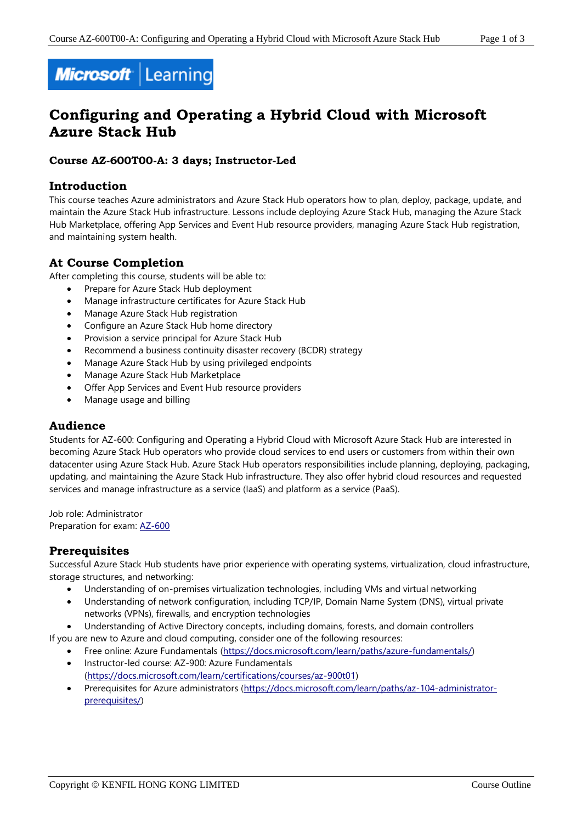

# **Configuring and Operating a Hybrid Cloud with Microsoft Azure Stack Hub**

# **Course AZ-600T00-A: 3 days; Instructor-Led**

# **Introduction**

This course teaches Azure administrators and Azure Stack Hub operators how to plan, deploy, package, update, and maintain the Azure Stack Hub infrastructure. Lessons include deploying Azure Stack Hub, managing the Azure Stack Hub Marketplace, offering App Services and Event Hub resource providers, managing Azure Stack Hub registration, and maintaining system health.

# **At Course Completion**

After completing this course, students will be able to:

- Prepare for Azure Stack Hub deployment
- Manage infrastructure certificates for Azure Stack Hub
- Manage Azure Stack Hub registration
- Configure an Azure Stack Hub home directory
- Provision a service principal for Azure Stack Hub
- Recommend a business continuity disaster recovery (BCDR) strategy
- Manage Azure Stack Hub by using privileged endpoints
- Manage Azure Stack Hub Marketplace
- Offer App Services and Event Hub resource providers
- Manage usage and billing

# **Audience**

Students for AZ-600: Configuring and Operating a Hybrid Cloud with Microsoft Azure Stack Hub are interested in becoming Azure Stack Hub operators who provide cloud services to end users or customers from within their own datacenter using Azure Stack Hub. Azure Stack Hub operators responsibilities include planning, deploying, packaging, updating, and maintaining the Azure Stack Hub infrastructure. They also offer hybrid cloud resources and requested services and manage infrastructure as a service (IaaS) and platform as a service (PaaS).

Job role: Administrator Preparation for exam: [AZ-600](https://docs.microsoft.com/en-us/learn/certifications/exams/az-600)

# **Prerequisites**

Successful Azure Stack Hub students have prior experience with operating systems, virtualization, cloud infrastructure, storage structures, and networking:

- Understanding of on-premises virtualization technologies, including VMs and virtual networking
- Understanding of network configuration, including TCP/IP, Domain Name System (DNS), virtual private networks (VPNs), firewalls, and encryption technologies
- Understanding of Active Directory concepts, including domains, forests, and domain controllers

If you are new to Azure and cloud computing, consider one of the following resources:

- Free online: Azure Fundamentals [\(https://docs.microsoft.com/learn/paths/azure-fundamentals/\)](https://docs.microsoft.com/en-us/learn/paths/azure-fundamentals/)
- Instructor-led course: AZ-900: Azure Fundamentals [\(https://docs.microsoft.com/learn/certifications/courses/az-900t01\)](https://docs.microsoft.com/en-us/learn/certifications/courses/az-900t01)
- Prerequisites for Azure administrators [\(https://docs.microsoft.com/learn/paths/az-104-administrator](https://docs.microsoft.com/en-us/learn/paths/az-104-administrator-prerequisites/)[prerequisites/\)](https://docs.microsoft.com/en-us/learn/paths/az-104-administrator-prerequisites/)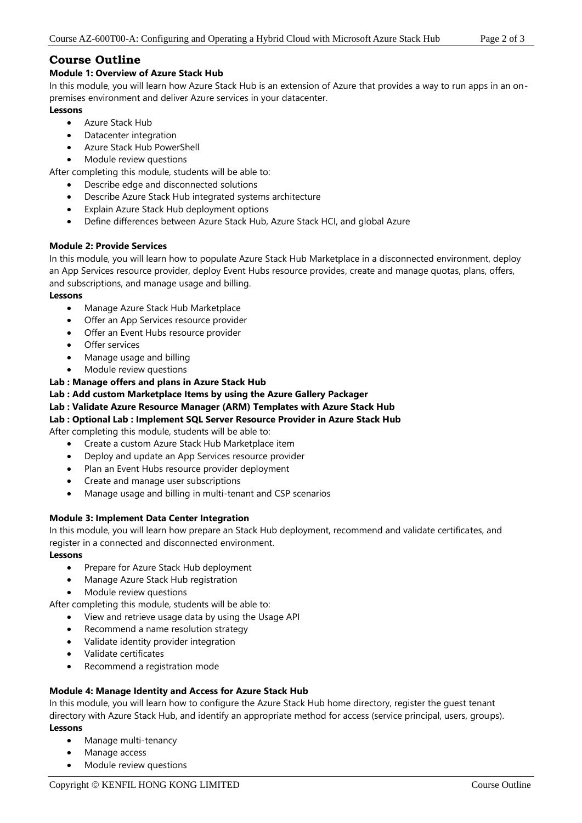# **Course Outline**

### **Module 1: Overview of Azure Stack Hub**

In this module, you will learn how Azure Stack Hub is an extension of Azure that provides a way to run apps in an onpremises environment and deliver Azure services in your datacenter.

### **Lessons**

- Azure Stack Hub
- Datacenter integration
- Azure Stack Hub PowerShell
- Module review questions

After completing this module, students will be able to:

- Describe edge and disconnected solutions
- Describe Azure Stack Hub integrated systems architecture
- Explain Azure Stack Hub deployment options
- Define differences between Azure Stack Hub, Azure Stack HCI, and global Azure

### **Module 2: Provide Services**

In this module, you will learn how to populate Azure Stack Hub Marketplace in a disconnected environment, deploy an App Services resource provider, deploy Event Hubs resource provides, create and manage quotas, plans, offers, and subscriptions, and manage usage and billing.

#### **Lessons**

- Manage Azure Stack Hub Marketplace
- Offer an App Services resource provider
- Offer an Event Hubs resource provider
- Offer services
- Manage usage and billing
- Module review questions

## **Lab : Manage offers and plans in Azure Stack Hub**

**Lab : Add custom Marketplace Items by using the Azure Gallery Packager**

#### **Lab : Validate Azure Resource Manager (ARM) Templates with Azure Stack Hub**

## **Lab : Optional Lab : Implement SQL Server Resource Provider in Azure Stack Hub**

After completing this module, students will be able to:

- Create a custom Azure Stack Hub Marketplace item
- Deploy and update an App Services resource provider
- Plan an Event Hubs resource provider deployment
- Create and manage user subscriptions
- Manage usage and billing in multi-tenant and CSP scenarios

## **Module 3: Implement Data Center Integration**

In this module, you will learn how prepare an Stack Hub deployment, recommend and validate certificates, and register in a connected and disconnected environment.

**Lessons**

- Prepare for Azure Stack Hub deployment
- Manage Azure Stack Hub registration
- Module review questions

After completing this module, students will be able to:

- View and retrieve usage data by using the Usage API
- Recommend a name resolution strategy
- Validate identity provider integration
- Validate certificates
- Recommend a registration mode

## **Module 4: Manage Identity and Access for Azure Stack Hub**

In this module, you will learn how to configure the Azure Stack Hub home directory, register the guest tenant directory with Azure Stack Hub, and identify an appropriate method for access (service principal, users, groups). **Lessons**

- Manage multi-tenancy
- Manage access
- Module review questions